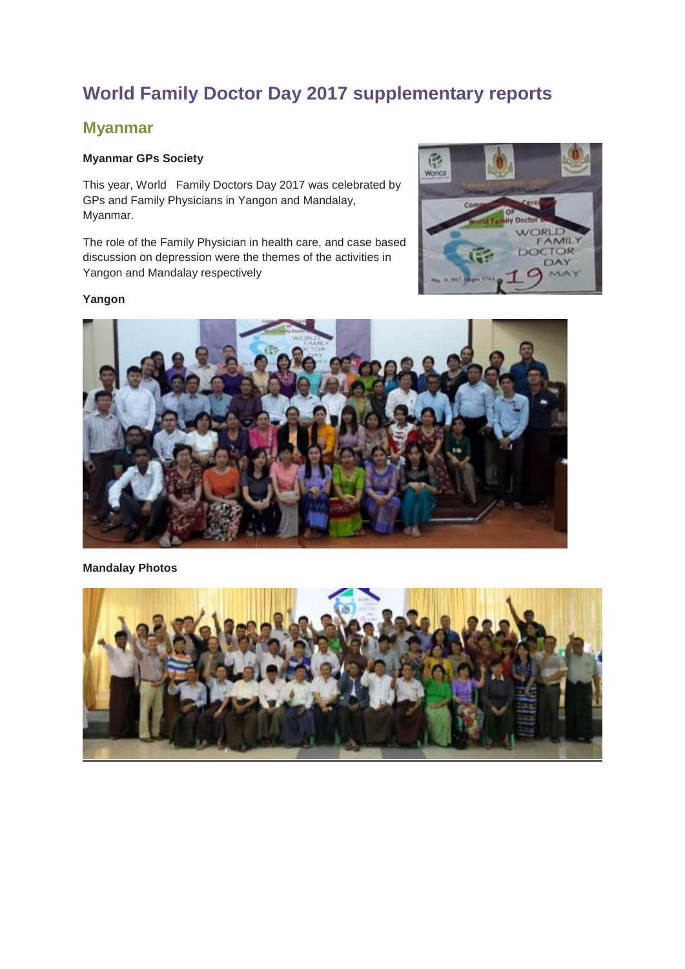# **World Family Doctor Day 2017 supplementary reports**

### **Myanmar**

#### **Myanmar GPs Society**

This year, World Family Doctors Day 2017 was celebrated by GPs and Family Physicians in Yangon and Mandalay, Myanmar.

The role of the Family Physician in health care, and case based discussion on depression were the themes of the activities in Yangon and Mandalay respectively



#### **Yangon**



#### **Mandalay Photos**